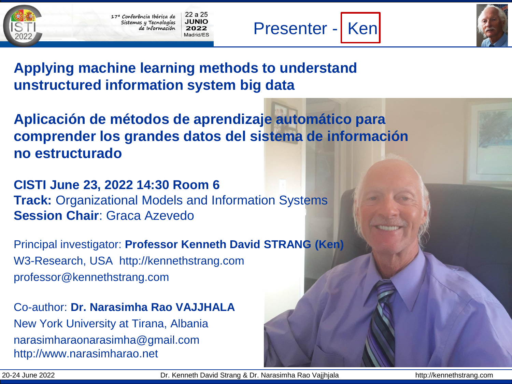22 a 25 17ª Conferência Ibérica de JUNIO Sistemas y Tecnologías de Información 2022 Madrid/FS



## **Applying machine learning methods to understand unstructured information system big data**

**Aplicación de métodos de aprendizaje automático para comprender los grandes datos del sistema de información no estructurado**

**CISTI June 23, 2022 14:30 Room 6 Track:** Organizational Models and Information Systems **Session Chair**: Graca Azevedo

Principal investigator: **Professor Kenneth David STRANG (Ken)** W3-Research, USA http://kennethstrang.com professor@kennethstrang.com

Co-author: **Dr. Narasimha Rao VAJJHALA** New York University at Tirana, Albania narasimharaonarasimha@gmail.com http://www.narasimharao.net

20-24 June 2022 Dr. Kenneth David Strang & Dr. Narasimha Rao Vajjhjala http://kennethstrang.com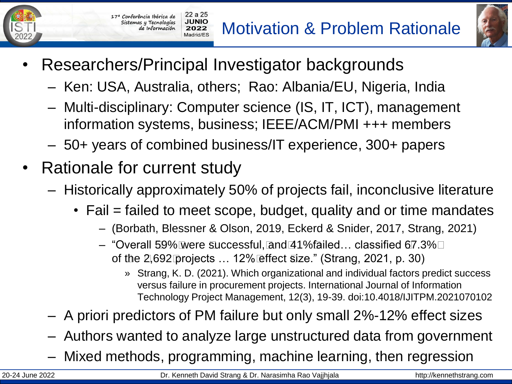Motivation & Problem Rationale



• Researchers/Principal Investigator backgrounds

 $22a25$ 

**JUNIO** 

2022 Madrid/FS

- Ken: USA, Australia, others; Rao: Albania/EU, Nigeria, India
- Multi-disciplinary: Computer science (IS, IT, ICT), management information systems, business; IEEE/ACM/PMI +++ members
- 50+ years of combined business/IT experience, 300+ papers
- Rationale for current study

17<sup>a</sup> Conferência Ibérica de

Sistemas y Tecnologías de Información

- Historically approximately 50% of projects fail, inconclusive literature
	- Fail = failed to meet scope, budget, quality and or time mandates
		- (Borbath, Blessner & Olson, 2019, Eckerd & Snider, 2017, Strang, 2021)
		- "Overall 59% were successful, and 41% failed… classified 67.3% of the 2,692 projects … 12% effect size." (Strang, 2021, p. 30)
			- » Strang, K. D. (2021). Which organizational and individual factors predict success versus failure in procurement projects. International Journal of Information Technology Project Management, 12(3), 19-39. doi:10.4018/IJITPM.2021070102
- A priori predictors of PM failure but only small 2%-12% effect sizes
- Authors wanted to analyze large unstructured data from government
- Mixed methods, programming, machine learning, then regression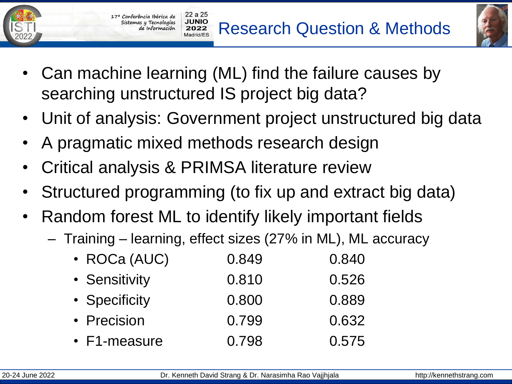**Research Question & Methods** 



- Can machine learning (ML) find the failure causes by searching unstructured IS project big data?
- Unit of analysis: Government project unstructured big data
- A pragmatic mixed methods research design

 $22a25$ 

17<sup>ª</sup> Conferência Ibérica de Sistemas y Tecnologías de Información

- Critical analysis & PRIMSA literature review
- Structured programming (to fix up and extract big data)
- Random forest ML to identify likely important fields
	- Training learning, effect sizes (27% in ML), ML accuracy
		- ROCa (AUC) 0.849 0.840 • Sensitivity 0.810 0.526 • Specificity 0.800 0.889 • Precision 0.799 0.632 • F1-measure 0.798 0.575